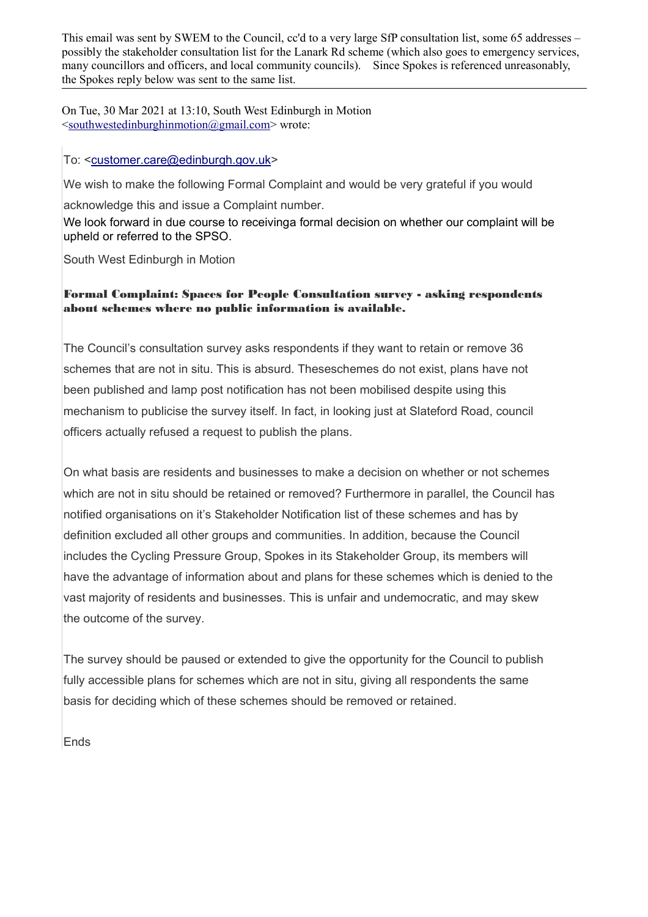This email was sent by SWEM to the Council, cc'd to a very large SfP consultation list, some 65 addresses – possibly the stakeholder consultation list for the Lanark Rd scheme (which also goes to emergency services, many councillors and officers, and local community councils). Since Spokes is referenced unreasonably, the Spokes reply below was sent to the same list.

On Tue, 30 Mar 2021 at 13:10, South West Edinburgh in Motion [<southwestedinburghinmotion@gmail.com>](mailto:southwestedinburghinmotion@gmail.com) wrote:

## To: [<customer.care@edinburgh.gov.uk>](mailto:customer.care@edinburgh.gov.uk)

We wish to make the following Formal Complaint and would be very grateful if you would

acknowledge this and issue a Complaint number.

We look forward in due course to receivinga formal decision on whether our complaint will be upheld or referred to the SPSO.

South West Edinburgh in Motion

## Formal Complaint: Spaces for People Consultation survey - asking respondents about schemes where no public information is available.

The Council's consultation survey asks respondents if they want to retain or remove 36 schemes that are not in situ. This is absurd. Theseschemes do not exist, plans have not been published and lamp post notification has not been mobilised despite using this mechanism to publicise the survey itself. In fact, in looking just at Slateford Road, council officers actually refused a request to publish the plans.

On what basis are residents and businesses to make a decision on whether or not schemes which are not in situ should be retained or removed? Furthermore in parallel, the Council has notified organisations on it's Stakeholder Notification list of these schemes and has by definition excluded all other groups and communities. In addition, because the Council includes the Cycling Pressure Group, Spokes in its Stakeholder Group, its members will have the advantage of information about and plans for these schemes which is denied to the vast majority of residents and businesses. This is unfair and undemocratic, and may skew the outcome of the survey.

The survey should be paused or extended to give the opportunity for the Council to publish fully accessible plans for schemes which are not in situ, giving all respondents the same basis for deciding which of these schemes should be removed or retained.

Ends